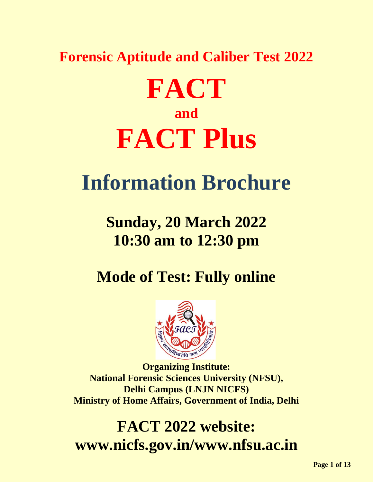### **Forensic Aptitude and Caliber Test 2022**

# **FACT and FACT Plus**

## **Information Brochure**

## **Sunday, 20 March 2022 10:30 am to 12:30 pm**

**Mode of Test: Fully online**



**Organizing Institute: National Forensic Sciences University (NFSU), Delhi Campus (LNJN NICFS) Ministry of Home Affairs, Government of India, Delhi**

**FACT 2022 website: www.nicfs.gov.in/www.nfsu.ac.in**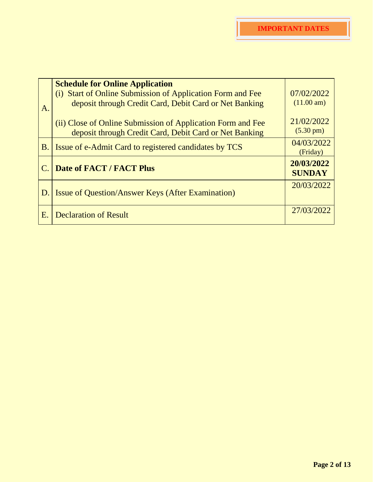|    | <b>Schedule for Online Application</b>                      |                          |
|----|-------------------------------------------------------------|--------------------------|
|    | (i) Start of Online Submission of Application Form and Fee  | 07/02/2022<br>(11.00 am) |
| A. | deposit through Credit Card, Debit Card or Net Banking      |                          |
|    | (ii) Close of Online Submission of Application Form and Fee | 21/02/2022               |
|    | deposit through Credit Card, Debit Card or Net Banking      | $(5.30 \text{ pm})$      |
| B. | Issue of e-Admit Card to registered candidates by TCS       | 04/03/2022               |
|    |                                                             | (Friday)                 |
| C. | <b>Date of FACT / FACT Plus</b>                             | 20/03/2022               |
|    |                                                             | <b>SUNDAY</b>            |
|    |                                                             | 20/03/2022               |
|    | D. Issue of Question/Answer Keys (After Examination)        |                          |
|    |                                                             | 27/03/2022               |
| Ε. | <b>Declaration of Result</b>                                |                          |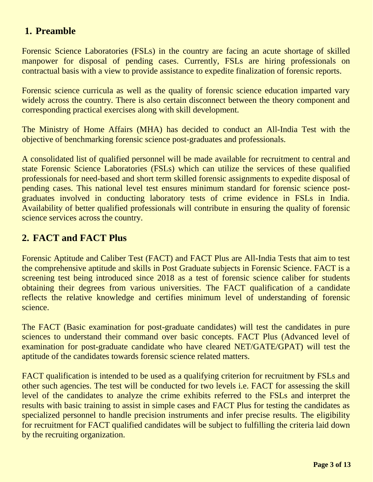#### **1. Preamble**

Forensic Science Laboratories (FSLs) in the country are facing an acute shortage of skilled manpower for disposal of pending cases. Currently, FSLs are hiring professionals on contractual basis with a view to provide assistance to expedite finalization of forensic reports.

Forensic science curricula as well as the quality of forensic science education imparted vary widely across the country. There is also certain disconnect between the theory component and corresponding practical exercises along with skill development.

The Ministry of Home Affairs (MHA) has decided to conduct an All-India Test with the objective of benchmarking forensic science post-graduates and professionals.

A consolidated list of qualified personnel will be made available for recruitment to central and state Forensic Science Laboratories (FSLs) which can utilize the services of these qualified professionals for need-based and short term skilled forensic assignments to expedite disposal of pending cases. This national level test ensures minimum standard for forensic science postgraduates involved in conducting laboratory tests of crime evidence in FSLs in India. Availability of better qualified professionals will contribute in ensuring the quality of forensic science services across the country.

#### **2. FACT and FACT Plus**

Forensic Aptitude and Caliber Test (FACT) and FACT Plus are All-India Tests that aim to test the comprehensive aptitude and skills in Post Graduate subjects in Forensic Science. FACT is a screening test being introduced since 2018 as a test of forensic science caliber for students obtaining their degrees from various universities. The FACT qualification of a candidate reflects the relative knowledge and certifies minimum level of understanding of forensic science.

The FACT (Basic examination for post-graduate candidates) will test the candidates in pure sciences to understand their command over basic concepts. FACT Plus (Advanced level of examination for post-graduate candidate who have cleared NET/GATE/GPAT) will test the aptitude of the candidates towards forensic science related matters.

FACT qualification is intended to be used as a qualifying criterion for recruitment by FSLs and other such agencies. The test will be conducted for two levels i.e. FACT for assessing the skill level of the candidates to analyze the crime exhibits referred to the FSLs and interpret the results with basic training to assist in simple cases and FACT Plus for testing the candidates as specialized personnel to handle precision instruments and infer precise results. The eligibility for recruitment for FACT qualified candidates will be subject to fulfilling the criteria laid down by the recruiting organization.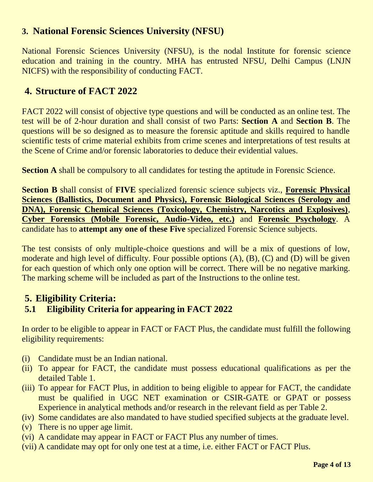#### **3. National Forensic Sciences University (NFSU)**

National Forensic Sciences University (NFSU), is the nodal Institute for forensic science education and training in the country. MHA has entrusted NFSU, Delhi Campus (LNJN NICFS) with the responsibility of conducting FACT.

#### **4. Structure of FACT 2022**

FACT 2022 will consist of objective type questions and will be conducted as an online test. The test will be of 2-hour duration and shall consist of two Parts: **Section A** and **Section B**. The questions will be so designed as to measure the forensic aptitude and skills required to handle scientific tests of crime material exhibits from crime scenes and interpretations of test results at the Scene of Crime and/or forensic laboratories to deduce their evidential values.

**Section A** shall be compulsory to all candidates for testing the aptitude in Forensic Science.

**Section B** shall consist of **FIVE** specialized forensic science subjects viz., **Forensic Physical Sciences (Ballistics, Document and Physics), Forensic Biological Sciences (Serology and DNA), Forensic Chemical Sciences (Toxicology, Chemistry, Narcotics and Explosives)**, **Cyber Forensics (Mobile Forensic, Audio-Video, etc.)** and **Forensic Psychology**. A candidate has to **attempt any one of these Five** specialized Forensic Science subjects.

The test consists of only multiple-choice questions and will be a mix of questions of low, moderate and high level of difficulty. Four possible options (A), (B), (C) and (D) will be given for each question of which only one option will be correct. There will be no negative marking. The marking scheme will be included as part of the Instructions to the online test.

#### **5. Eligibility Criteria: 5.1 Eligibility Criteria for appearing in FACT 2022**

In order to be eligible to appear in FACT or FACT Plus, the candidate must fulfill the following eligibility requirements:

- (i) Candidate must be an Indian national.
- (ii) To appear for FACT, the candidate must possess educational qualifications as per the detailed Table 1.
- (iii) To appear for FACT Plus, in addition to being eligible to appear for FACT, the candidate must be qualified in UGC NET examination or CSIR-GATE or GPAT or possess Experience in analytical methods and/or research in the relevant field as per Table 2.
- (iv) Some candidates are also mandated to have studied specified subjects at the graduate level.
- (v) There is no upper age limit.
- (vi) A candidate may appear in FACT or FACT Plus any number of times.
- (vii) A candidate may opt for only one test at a time, i.e. either FACT or FACT Plus.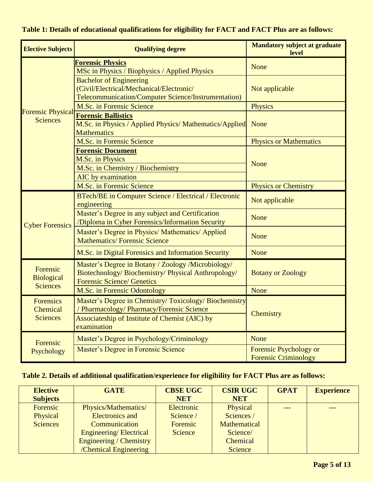| <b>Elective Subjects</b>                         | <b>Qualifying degree</b>                                                                                                                                           | <b>Mandatory subject at graduate</b><br>level         |  |
|--------------------------------------------------|--------------------------------------------------------------------------------------------------------------------------------------------------------------------|-------------------------------------------------------|--|
|                                                  | <u>Forensic Physics</u><br>MSc in Physics / Biophysics / Applied Physics                                                                                           | None                                                  |  |
|                                                  | <b>Bachelor of Engineering</b><br>(Civil/Electrical/Mechanical/Electronic/<br>Telecommunication/Computer Science/Instrumentation)                                  | Not applicable                                        |  |
|                                                  | M.Sc. in Forensic Science                                                                                                                                          | Physics                                               |  |
| <b>Forensic Physical</b><br><b>Sciences</b>      | <b>Forensic Ballistics</b><br>M.Sc. in Physics / Applied Physics/ Mathematics/Applied<br><b>Mathematics</b>                                                        | None                                                  |  |
|                                                  | M.Sc. in Forensic Science                                                                                                                                          | <b>Physics or Mathematics</b>                         |  |
|                                                  | <b>Forensic Document</b><br>M.Sc. in Physics<br>M.Sc. in Chemistry / Biochemistry<br><b>AIC</b> by examination                                                     | None                                                  |  |
|                                                  | M.Sc. in Forensic Science                                                                                                                                          | <b>Physics or Chemistry</b>                           |  |
|                                                  | BTech/BE in Computer Science / Electrical / Electronic<br>engineering                                                                                              | Not applicable                                        |  |
| <b>Cyber Forensics</b>                           | Master's Degree in any subject and Certification<br>/Diploma in Cyber Forensics/Information Security                                                               | None                                                  |  |
|                                                  | Master's Degree in Physics/ Mathematics/ Applied<br><b>Mathematics/Forensic Science</b>                                                                            | None                                                  |  |
|                                                  | M.Sc. in Digital Forensics and Information Security                                                                                                                | None                                                  |  |
| Forensic<br><b>Biological</b><br><b>Sciences</b> | Master's Degree in Botany / Zoology /Microbiology/<br>Biotechnology/Biochemistry/Physical Anthropology/<br><b>Forensic Science/ Genetics</b>                       | <b>Botany or Zoology</b>                              |  |
|                                                  | M.Sc. in Forensic Odontology                                                                                                                                       | None                                                  |  |
| <b>Forensics</b><br>Chemical<br><b>Sciences</b>  | Master's Degree in Chemistry/Toxicology/Biochemistry<br>/ Pharmacology/ Pharmacy/Forensic Science<br>Associateship of Institute of Chemist (AIC) by<br>examination | Chemistry                                             |  |
| Forensic                                         | Master's Degree in Psychology/Criminology                                                                                                                          | <b>None</b>                                           |  |
| Psychology                                       | Master's Degree in Forensic Science                                                                                                                                | Forensic Psychology or<br><b>Forensic Criminology</b> |  |

#### **Table 1: Details of educational qualifications for eligibility for FACT and FACT Plus are as follows:**

#### **Table 2. Details of additional qualification/experience for eligibility for FACT Plus are as follows:**

| <b>Elective</b> | <b>GATE</b>             | <b>CBSE UGC</b> | <b>CSIR UGC</b>     | <b>GPAT</b> | <b>Experience</b> |
|-----------------|-------------------------|-----------------|---------------------|-------------|-------------------|
| <b>Subjects</b> |                         | <b>NET</b>      | <b>NET</b>          |             |                   |
| Forensic        | Physics/Mathematics/    | Electronic      | Physical            |             |                   |
| Physical        | <b>Electronics and</b>  | Science /       | Sciences /          |             |                   |
| <b>Sciences</b> | Communication           | Forensic        | <b>Mathematical</b> |             |                   |
|                 | Engineering/Electrical  | Science         | Science/            |             |                   |
|                 | Engineering / Chemistry |                 | Chemical            |             |                   |
|                 | /Chemical Engineering   |                 | Science             |             |                   |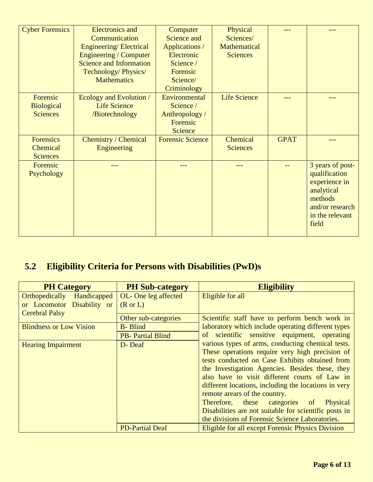| <b>Cyber Forensics</b> | <b>Electronics and</b>         | Computer                | Physical            |             |                                                                                                                            |
|------------------------|--------------------------------|-------------------------|---------------------|-------------|----------------------------------------------------------------------------------------------------------------------------|
|                        | Communication                  | Science and             | Sciences/           |             |                                                                                                                            |
|                        | Engineering/Electrical         | Applications /          | Mathematical        |             |                                                                                                                            |
|                        | Engineering / Computer         | Electronic              | <b>Sciences</b>     |             |                                                                                                                            |
|                        | <b>Science and Information</b> | Science /               |                     |             |                                                                                                                            |
|                        | Technology/Physics/            | Forensic                |                     |             |                                                                                                                            |
|                        | <b>Mathematics</b>             | Science/                |                     |             |                                                                                                                            |
|                        |                                | Criminology             |                     |             |                                                                                                                            |
| Forensic               | Ecology and Evolution /        | Environmental           | <b>Life Science</b> |             |                                                                                                                            |
| <b>Biological</b>      | <b>Life Science</b>            | Science /               |                     |             |                                                                                                                            |
| <b>Sciences</b>        | /Biotechnology                 | Anthropology/           |                     |             |                                                                                                                            |
|                        |                                | Forensic                |                     |             |                                                                                                                            |
|                        |                                | <b>Science</b>          |                     |             |                                                                                                                            |
| <b>Forensics</b>       | Chemistry / Chemical           | <b>Forensic Science</b> | Chemical            | <b>GPAT</b> |                                                                                                                            |
| Chemical               | Engineering                    |                         | <b>Sciences</b>     |             |                                                                                                                            |
| <b>Sciences</b>        |                                |                         |                     |             |                                                                                                                            |
| Forensic<br>Psychology |                                |                         |                     |             | 3 years of post-<br>qualification<br>experience in<br>analytical<br>methods<br>and/or research<br>in the relevant<br>field |

#### **5.2 Eligibility Criteria for Persons with Disabilities (PwD)s**

| <b>PH Category</b>                   | <b>PH Sub-category</b>  | <b>Eligibility</b>                                                                                                                                                                                                                                                                                                                                                                                                                                                                                                          |  |
|--------------------------------------|-------------------------|-----------------------------------------------------------------------------------------------------------------------------------------------------------------------------------------------------------------------------------------------------------------------------------------------------------------------------------------------------------------------------------------------------------------------------------------------------------------------------------------------------------------------------|--|
| <b>Orthopedically</b><br>Handicapped | OL-One leg affected     | Eligible for all                                                                                                                                                                                                                                                                                                                                                                                                                                                                                                            |  |
| or Locomotor Disability or           | $(R \text{ or } L)$     |                                                                                                                                                                                                                                                                                                                                                                                                                                                                                                                             |  |
| <b>Cerebral Palsy</b>                | Other sub-categories    | Scientific staff have to perform bench work in                                                                                                                                                                                                                                                                                                                                                                                                                                                                              |  |
| <b>Blindness or Low Vision</b>       | <b>B-</b> Blind         | laboratory which include operating different types                                                                                                                                                                                                                                                                                                                                                                                                                                                                          |  |
|                                      | <b>PB-Partial Blind</b> | of scientific sensitive equipment, operating                                                                                                                                                                                                                                                                                                                                                                                                                                                                                |  |
| <b>Hearing Impairment</b>            | D-Deaf                  | various types of arms, conducting chemical tests.<br>These operations require very high precision of<br>tests conducted on Case Exhibits obtained from<br>the Investigation Agencies. Besides these, they<br>also have to visit different courts of Law in<br>different locations, including the locations in very<br>remote arears of the country.<br>Therefore, these categories<br>Physical<br><sub>of</sub><br>Disabilities are not suitable for scientific posts in<br>the divisions of Forensic Science Laboratories. |  |
|                                      | <b>PD-Partial Deaf</b>  | Eligible for all except Forensic Physics Division                                                                                                                                                                                                                                                                                                                                                                                                                                                                           |  |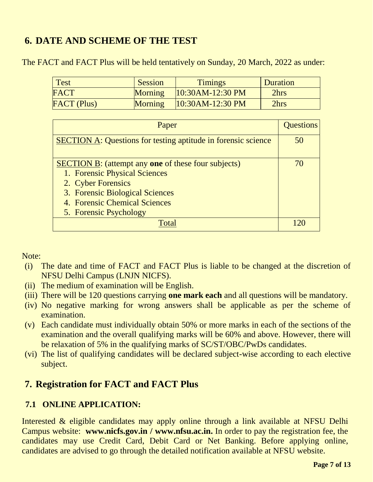#### **6. DATE AND SCHEME OF THE TEST**

The FACT and FACT Plus will be held tentatively on Sunday, 20 March, 2022 as under:

| <b>Test</b>        | <b>Session</b> | <b>Timings</b>     | <b>Duration</b> |
|--------------------|----------------|--------------------|-----------------|
| <b>FACT</b>        | <b>Morning</b> | $10:30AM-12:30 PM$ | 2hrs            |
| <b>FACT</b> (Plus) | <b>Morning</b> | $10:30AM-12:30 PM$ | 2hrs            |

| Paper                                                                                                                                                                                                                  | <b>Questions</b> |
|------------------------------------------------------------------------------------------------------------------------------------------------------------------------------------------------------------------------|------------------|
| <b>SECTION A: Questions for testing aptitude in forensic science</b>                                                                                                                                                   | 50               |
| <b>SECTION B:</b> (attempt any <b>one</b> of these four subjects)<br>1. Forensic Physical Sciences<br>2. Cyber Forensics<br>3. Forensic Biological Sciences<br>4. Forensic Chemical Sciences<br>5. Forensic Psychology |                  |
| $\Gamma$ ∩tэ                                                                                                                                                                                                           |                  |

Note:

- (i) The date and time of FACT and FACT Plus is liable to be changed at the discretion of NFSU Delhi Campus (LNJN NICFS).
- (ii) The medium of examination will be English.
- (iii) There will be 120 questions carrying **one mark each** and all questions will be mandatory.
- (iv) No negative marking for wrong answers shall be applicable as per the scheme of examination.
- (v) Each candidate must individually obtain 50% or more marks in each of the sections of the examination and the overall qualifying marks will be 60% and above. However, there will be relaxation of 5% in the qualifying marks of SC/ST/OBC/PwDs candidates.
- (vi) The list of qualifying candidates will be declared subject-wise according to each elective subject.

#### **7. Registration for FACT and FACT Plus**

#### **7.1 ONLINE APPLICATION:**

Interested & eligible candidates may apply online through a link available at NFSU Delhi Campus website: **www.nicfs.gov.in / www.nfsu.ac.in.** In order to pay the registration fee, the candidates may use Credit Card, Debit Card or Net Banking. Before applying online, candidates are advised to go through the detailed notification available at NFSU website.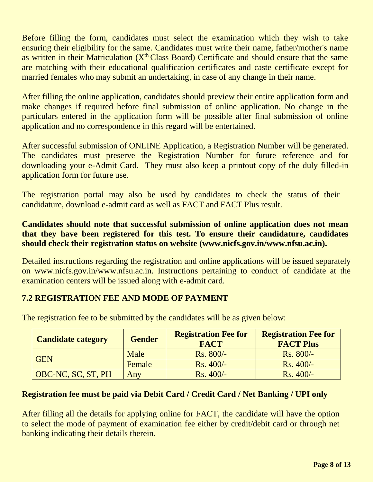Before filling the form, candidates must select the examination which they wish to take ensuring their eligibility for the same. Candidates must write their name, father/mother's name as written in their Matriculation ( $X<sup>th</sup> Class Board$ ) Certificate and should ensure that the same are matching with their educational qualification certificates and caste certificate except for married females who may submit an undertaking, in case of any change in their name.

After filling the online application, candidates should preview their entire application form and make changes if required before final submission of online application. No change in the particulars entered in the application form will be possible after final submission of online application and no correspondence in this regard will be entertained.

After successful submission of ONLINE Application, a Registration Number will be generated. The candidates must preserve the Registration Number for future reference and for downloading your e-Admit Card. They must also keep a printout copy of the duly filled-in application form for future use.

The registration portal may also be used by candidates to check the status of their candidature, download e-admit card as well as FACT and FACT Plus result.

#### **Candidates should note that successful submission of online application does not mean that they have been registered for this test. To ensure their candidature, candidates should check their registration status on website (www.nicfs.gov.in/www.nfsu.ac.in).**

Detailed instructions regarding the registration and online applications will be issued separately on www.nicfs.gov.in/www.nfsu.ac.in. Instructions pertaining to conduct of candidate at the examination centers will be issued along with e-admit card.

#### **7.2 REGISTRATION FEE AND MODE OF PAYMENT**

| <b>Candidate category</b> | <b>Gender</b> | <b>Registration Fee for</b><br><b>FACT</b> | <b>Registration Fee for</b><br><b>FACT Plus</b> |
|---------------------------|---------------|--------------------------------------------|-------------------------------------------------|
| <b>GEN</b>                | Male          | $Rs. 800/-$                                | $Rs. 800/-$                                     |
|                           | Female        | $Rs.400/-$                                 | $Rs.400/-$                                      |
| OBC-NC, SC, ST, PH        | Any           | $Rs.400/-$                                 | $Rs.400/-$                                      |

The registration fee to be submitted by the candidates will be as given below:

#### **Registration fee must be paid via Debit Card / Credit Card / Net Banking / UPI only**

After filling all the details for applying online for FACT, the candidate will have the option to select the mode of payment of examination fee either by credit/debit card or through net banking indicating their details therein.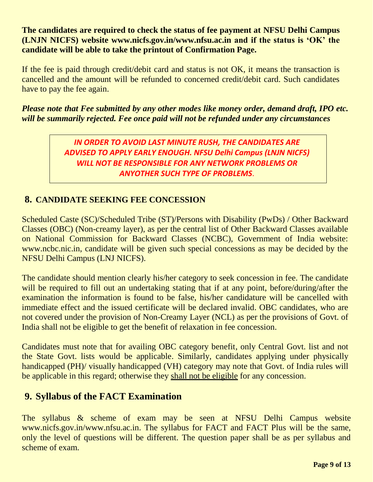**The candidates are required to check the status of fee payment at NFSU Delhi Campus (LNJN NICFS) website www.nicfs.gov.in/www.nfsu.ac.in and if the status is 'OK' the candidate will be able to take the printout of Confirmation Page.** 

If the fee is paid through credit/debit card and status is not OK, it means the transaction is cancelled and the amount will be refunded to concerned credit/debit card. Such candidates have to pay the fee again.

*Please note that Fee submitted by any other modes like money order, demand draft, IPO etc. will be summarily rejected. Fee once paid will not be refunded under any circumstances*

> *IN ORDER TO AVOID LAST MINUTE RUSH, THE CANDIDATES ARE ADVISED TO APPLY EARLY ENOUGH. NFSU Delhi Campus (LNJN NICFS) WILL NOT BE RESPONSIBLE FOR ANY NETWORK PROBLEMS OR ANYOTHER SUCH TYPE OF PROBLEMS*.

#### **8. CANDIDATE SEEKING FEE CONCESSION**

Scheduled Caste (SC)/Scheduled Tribe (ST)/Persons with Disability (PwDs) / Other Backward Classes (OBC) (Non-creamy layer), as per the central list of Other Backward Classes available on National Commission for Backward Classes (NCBC), Government of India website: www.ncbc.nic.in, candidate will be given such special concessions as may be decided by the NFSU Delhi Campus (LNJ NICFS).

The candidate should mention clearly his/her category to seek concession in fee. The candidate will be required to fill out an undertaking stating that if at any point, before/during/after the examination the information is found to be false, his/her candidature will be cancelled with immediate effect and the issued certificate will be declared invalid. OBC candidates, who are not covered under the provision of Non-Creamy Layer (NCL) as per the provisions of Govt. of India shall not be eligible to get the benefit of relaxation in fee concession.

Candidates must note that for availing OBC category benefit, only Central Govt. list and not the State Govt. lists would be applicable. Similarly, candidates applying under physically handicapped (PH)/ visually handicapped (VH) category may note that Govt. of India rules will be applicable in this regard; otherwise they shall not be eligible for any concession.

#### **9. Syllabus of the FACT Examination**

The syllabus & scheme of exam may be seen at NFSU Delhi Campus website www.nicfs.gov.in/www.nfsu.ac.in. The syllabus for FACT and FACT Plus will be the same, only the level of questions will be different. The question paper shall be as per syllabus and scheme of exam.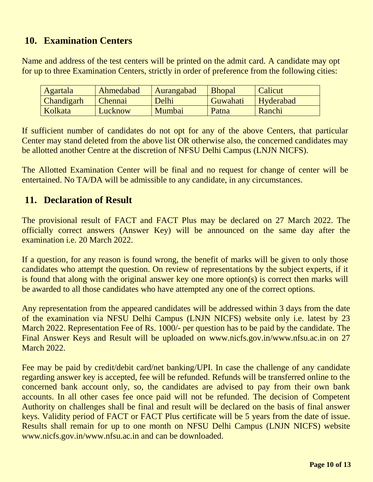#### **10. Examination Centers**

Name and address of the test centers will be printed on the admit card. A candidate may opt for up to three Examination Centers, strictly in order of preference from the following cities:

| <b>Agartala</b>   | Ahmedabad | <b>Aurangabad</b> | <b>Bhopal</b> | Calicut   |
|-------------------|-----------|-------------------|---------------|-----------|
| <b>Chandigarh</b> | Chennai   | Delhi             | Guwahati      | Hyderabad |
| Kolkata           | Lucknow   | Mumbai            | Patna         | Ranchi    |

If sufficient number of candidates do not opt for any of the above Centers, that particular Center may stand deleted from the above list OR otherwise also, the concerned candidates may be allotted another Centre at the discretion of NFSU Delhi Campus (LNJN NICFS).

The Allotted Examination Center will be final and no request for change of center will be entertained. No TA/DA will be admissible to any candidate, in any circumstances.

#### **11. Declaration of Result**

The provisional result of FACT and FACT Plus may be declared on 27 March 2022. The officially correct answers (Answer Key) will be announced on the same day after the examination i.e. 20 March 2022.

If a question, for any reason is found wrong, the benefit of marks will be given to only those candidates who attempt the question. On review of representations by the subject experts, if it is found that along with the original answer key one more option(s) is correct then marks will be awarded to all those candidates who have attempted any one of the correct options.

Any representation from the appeared candidates will be addressed within 3 days from the date of the examination via NFSU Delhi Campus (LNJN NICFS) website only i.e. latest by 23 March 2022. Representation Fee of Rs. 1000/- per question has to be paid by the candidate. The Final Answer Keys and Result will be uploaded on www.nicfs.gov.in/www.nfsu.ac.in on 27 March 2022.

Fee may be paid by credit/debit card/net banking/UPI. In case the challenge of any candidate regarding answer key is accepted, fee will be refunded. Refunds will be transferred online to the concerned bank account only, so, the candidates are advised to pay from their own bank accounts. In all other cases fee once paid will not be refunded. The decision of Competent Authority on challenges shall be final and result will be declared on the basis of final answer keys. Validity period of FACT or FACT Plus certificate will be 5 years from the date of issue. Results shall remain for up to one month on NFSU Delhi Campus (LNJN NICFS) website www.nicfs.gov.in/www.nfsu.ac.in and can be downloaded.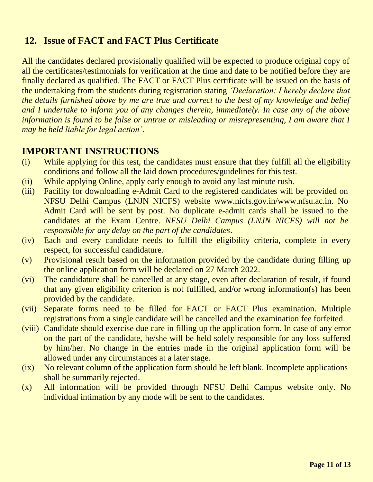#### **12. Issue of FACT and FACT Plus Certificate**

All the candidates declared provisionally qualified will be expected to produce original copy of all the certificates/testimonials for verification at the time and date to be notified before they are finally declared as qualified. The FACT or FACT Plus certificate will be issued on the basis of the undertaking from the students during registration stating *'Declaration: I hereby declare that the details furnished above by me are true and correct to the best of my knowledge and belief and I undertake to inform you of any changes therein, immediately. In case any of the above information is found to be false or untrue or misleading or misrepresenting, I am aware that I may be held liable for legal action'*.

#### **IMPORTANT INSTRUCTIONS**

- (i) While applying for this test, the candidates must ensure that they fulfill all the eligibility conditions and follow all the laid down procedures/guidelines for this test.
- (ii) While applying Online, apply early enough to avoid any last minute rush.
- (iii) Facility for downloading e-Admit Card to the registered candidates will be provided on NFSU Delhi Campus (LNJN NICFS) website www[.nicfs.gov.in/www.nfsu.ac.in.](http://www.csirhrdg.res.in/) No Admit Card will be sent by post. No duplicate e-admit cards shall be issued to the candidates at the Exam Centre. *NFSU Delhi Campus (LNJN NICFS) will not be responsible for any delay on the part of the candidates*.
- (iv) Each and every candidate needs to fulfill the eligibility criteria, complete in every respect, for successful candidature.
- (v) Provisional result based on the information provided by the candidate during filling up the online application form will be declared on 27 March 2022.
- (vi) The candidature shall be cancelled at any stage, even after declaration of result, if found that any given eligibility criterion is not fulfilled, and/or wrong information(s) has been provided by the candidate.
- (vii) Separate forms need to be filled for FACT or FACT Plus examination. Multiple registrations from a single candidate will be cancelled and the examination fee forfeited.
- (viii) Candidate should exercise due care in filling up the application form. In case of any error on the part of the candidate, he/she will be held solely responsible for any loss suffered by him/her. No change in the entries made in the original application form will be allowed under any circumstances at a later stage.
- (ix) No relevant column of the application form should be left blank. Incomplete applications shall be summarily rejected.
- (x) All information will be provided through NFSU Delhi Campus website only. No individual intimation by any mode will be sent to the candidates.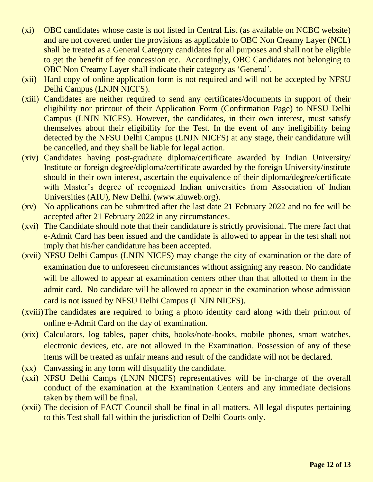- (xi) OBC candidates whose caste is not listed in Central List (as available on NCBC website) and are not covered under the provisions as applicable to OBC Non Creamy Layer (NCL) shall be treated as a General Category candidates for all purposes and shall not be eligible to get the benefit of fee concession etc. Accordingly, OBC Candidates not belonging to OBC Non Creamy Layer shall indicate their category as 'General'.
- (xii) Hard copy of online application form is not required and will not be accepted by NFSU Delhi Campus (LNJN NICFS).
- (xiii) Candidates are neither required to send any certificates/documents in support of their eligibility nor printout of their Application Form (Confirmation Page) to NFSU Delhi Campus (LNJN NICFS). However, the candidates, in their own interest, must satisfy themselves about their eligibility for the Test. In the event of any ineligibility being detected by the NFSU Delhi Campus (LNJN NICFS) at any stage, their candidature will be cancelled, and they shall be liable for legal action.
- (xiv) Candidates having post-graduate diploma/certificate awarded by Indian University/ Institute or foreign degree/diploma/certificate awarded by the foreign University/institute should in their own interest, ascertain the equivalence of their diploma/degree/certificate with Master's degree of recognized Indian universities from Association of Indian Universities (AIU), New Delhi. (www.aiuweb.org).
- (xv) No applications can be submitted after the last date 21 February 2022 and no fee will be accepted after 21 February 2022 in any circumstances.
- (xvi) The Candidate should note that their candidature is strictly provisional. The mere fact that e-Admit Card has been issued and the candidate is allowed to appear in the test shall not imply that his/her candidature has been accepted.
- (xvii) NFSU Delhi Campus (LNJN NICFS) may change the city of examination or the date of examination due to unforeseen circumstances without assigning any reason. No candidate will be allowed to appear at examination centers other than that allotted to them in the admit card. No candidate will be allowed to appear in the examination whose admission card is not issued by NFSU Delhi Campus (LNJN NICFS).
- (xviii)The candidates are required to bring a photo identity card along with their printout of online e-Admit Card on the day of examination.
- (xix) Calculators, log tables, paper chits, books/note-books, mobile phones, smart watches, electronic devices, etc. are not allowed in the Examination. Possession of any of these items will be treated as unfair means and result of the candidate will not be declared.
- (xx) Canvassing in any form will disqualify the candidate.
- (xxi) NFSU Delhi Camps (LNJN NICFS) representatives will be in-charge of the overall conduct of the examination at the Examination Centers and any immediate decisions taken by them will be final.
- (xxii) The decision of FACT Council shall be final in all matters. All legal disputes pertaining to this Test shall fall within the jurisdiction of Delhi Courts only.